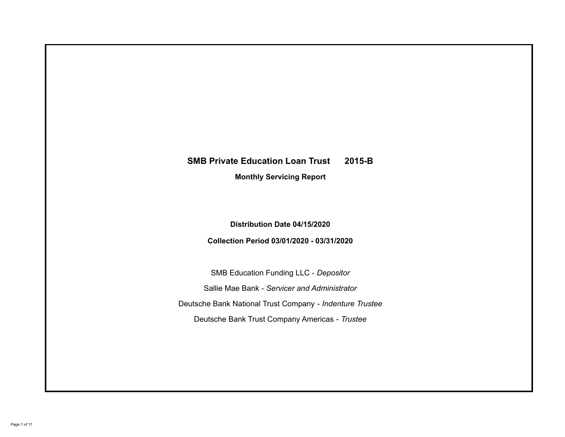# **SMB Private Education Loan Trust 2015-B Monthly Servicing Report**

# **Distribution Date 04/15/2020**

# **Collection Period 03/01/2020 - 03/31/2020**

SMB Education Funding LLC - *Depositor* Sallie Mae Bank - *Servicer and Administrator* Deutsche Bank National Trust Company - *Indenture Trustee* Deutsche Bank Trust Company Americas - *Trustee*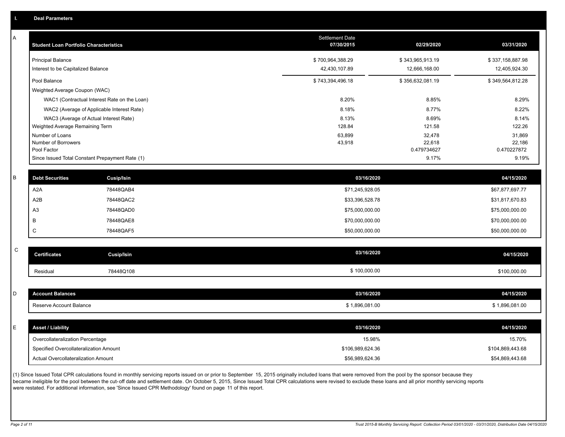| А | <b>Student Loan Portfolio Characteristics</b> |                                                 | Settlement Date<br>07/30/2015 | 02/29/2020            | 03/31/2020            |
|---|-----------------------------------------------|-------------------------------------------------|-------------------------------|-----------------------|-----------------------|
|   | <b>Principal Balance</b>                      |                                                 | \$700,964,388.29              | \$343,965,913.19      | \$337,158,887.98      |
|   | Interest to be Capitalized Balance            |                                                 | 42,430,107.89                 | 12,666,168.00         | 12,405,924.30         |
|   | Pool Balance                                  |                                                 | \$743,394,496.18              | \$356,632,081.19      | \$349,564,812.28      |
|   | Weighted Average Coupon (WAC)                 |                                                 |                               |                       |                       |
|   |                                               | WAC1 (Contractual Interest Rate on the Loan)    | 8.20%                         | 8.85%                 | 8.29%                 |
|   |                                               | WAC2 (Average of Applicable Interest Rate)      | 8.18%                         | 8.77%                 | 8.22%                 |
|   |                                               | WAC3 (Average of Actual Interest Rate)          | 8.13%                         | 8.69%                 | 8.14%                 |
|   | Weighted Average Remaining Term               |                                                 | 128.84                        | 121.58                | 122.26                |
|   | Number of Loans                               |                                                 | 63,899                        | 32,478                | 31,869                |
|   | Number of Borrowers<br>Pool Factor            |                                                 | 43,918                        | 22,618<br>0.479734627 | 22,186<br>0.470227872 |
|   |                                               | Since Issued Total Constant Prepayment Rate (1) |                               | 9.17%                 | 9.19%                 |
| B | <b>Debt Securities</b>                        | <b>Cusip/Isin</b>                               | 03/16/2020                    |                       | 04/15/2020            |
|   |                                               |                                                 |                               |                       |                       |
|   | A <sub>2</sub> A                              | 78448QAB4                                       | \$71,245,928.05               |                       | \$67,877,697.77       |
|   | A2B                                           | 78448QAC2                                       | \$33,396,528.78               |                       | \$31,817,670.83       |
|   | A <sub>3</sub>                                | 78448QAD0                                       | \$75,000,000.00               |                       | \$75,000,000.00       |
|   | B                                             | 78448QAE8                                       | \$70,000,000.00               |                       | \$70,000,000.00       |
|   | C                                             | 78448QAF5                                       | \$50,000,000.00               |                       | \$50,000,000.00       |
| C |                                               |                                                 |                               |                       |                       |
|   | <b>Certificates</b>                           | <b>Cusip/Isin</b>                               | 03/16/2020                    |                       | 04/15/2020            |
|   | Residual                                      | 78448Q108                                       | \$100,000.00                  |                       | \$100,000.00          |
|   |                                               |                                                 |                               |                       |                       |
| D | <b>Account Balances</b>                       |                                                 | 03/16/2020                    |                       | 04/15/2020            |
|   | Reserve Account Balance                       |                                                 | \$1,896,081.00                |                       | \$1,896,081.00        |
|   |                                               |                                                 |                               |                       |                       |
| E | <b>Asset / Liability</b>                      |                                                 | 03/16/2020                    |                       | 04/15/2020            |
|   | Overcollateralization Percentage              |                                                 | 15.98%                        |                       | 15.70%                |
|   | Specified Overcollateralization Amount        |                                                 | \$106,989,624.36              |                       | \$104,869,443.68      |
|   | Actual Overcollateralization Amount           |                                                 | \$56,989,624.36               |                       | \$54,869,443.68       |

(1) Since Issued Total CPR calculations found in monthly servicing reports issued on or prior to September 15, 2015 originally included loans that were removed from the pool by the sponsor because they .<br>became ineligible for the pool between the cut-off date and settlement date. On October 5, 2015, Since Issued Total CPR calculations were revised to exclude these loans and all prior monthly servicing reports were restated. For additional information, see 'Since Issued CPR Methodology' found on page 11 of this report.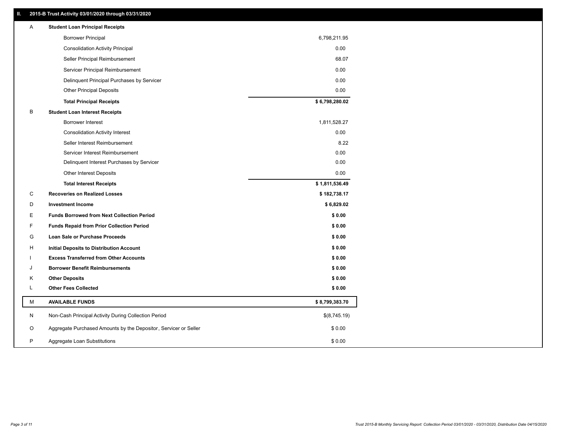## **II. 2015-B Trust Activity 03/01/2020 through 03/31/2020**

| <b>Borrower Principal</b><br>6,798,211.95<br>0.00<br><b>Consolidation Activity Principal</b><br>Seller Principal Reimbursement<br>68.07<br>Servicer Principal Reimbursement<br>0.00<br>0.00<br>Delinquent Principal Purchases by Servicer<br><b>Other Principal Deposits</b><br>0.00<br>\$6,798,280.02<br><b>Total Principal Receipts</b><br>В<br><b>Student Loan Interest Receipts</b><br>Borrower Interest<br>1,811,528.27<br>0.00<br><b>Consolidation Activity Interest</b><br>8.22<br>Seller Interest Reimbursement<br>0.00<br>Servicer Interest Reimbursement<br>0.00<br>Delinquent Interest Purchases by Servicer<br>0.00<br><b>Other Interest Deposits</b><br>\$1,811,536.49<br><b>Total Interest Receipts</b><br>C<br><b>Recoveries on Realized Losses</b><br>\$182,738.17<br>D<br><b>Investment Income</b><br>\$6,829.02<br>Е<br><b>Funds Borrowed from Next Collection Period</b><br>\$0.00<br>F.<br>\$0.00<br><b>Funds Repaid from Prior Collection Period</b><br>G<br>\$0.00<br>Loan Sale or Purchase Proceeds<br>\$0.00<br>н<br>Initial Deposits to Distribution Account<br>\$0.00<br><b>Excess Transferred from Other Accounts</b><br><b>Borrower Benefit Reimbursements</b><br>\$0.00<br>J<br><b>Other Deposits</b><br>\$0.00<br>Κ<br>L<br><b>Other Fees Collected</b><br>\$0.00<br>м<br><b>AVAILABLE FUNDS</b><br>\$8,799,383.70<br>N<br>Non-Cash Principal Activity During Collection Period<br>\$(8,745.19)<br>O<br>Aggregate Purchased Amounts by the Depositor, Servicer or Seller<br>\$0.00<br>P<br>\$0.00<br>Aggregate Loan Substitutions | Α | <b>Student Loan Principal Receipts</b> |  |
|-----------------------------------------------------------------------------------------------------------------------------------------------------------------------------------------------------------------------------------------------------------------------------------------------------------------------------------------------------------------------------------------------------------------------------------------------------------------------------------------------------------------------------------------------------------------------------------------------------------------------------------------------------------------------------------------------------------------------------------------------------------------------------------------------------------------------------------------------------------------------------------------------------------------------------------------------------------------------------------------------------------------------------------------------------------------------------------------------------------------------------------------------------------------------------------------------------------------------------------------------------------------------------------------------------------------------------------------------------------------------------------------------------------------------------------------------------------------------------------------------------------------------------------------------------------------|---|----------------------------------------|--|
|                                                                                                                                                                                                                                                                                                                                                                                                                                                                                                                                                                                                                                                                                                                                                                                                                                                                                                                                                                                                                                                                                                                                                                                                                                                                                                                                                                                                                                                                                                                                                                 |   |                                        |  |
|                                                                                                                                                                                                                                                                                                                                                                                                                                                                                                                                                                                                                                                                                                                                                                                                                                                                                                                                                                                                                                                                                                                                                                                                                                                                                                                                                                                                                                                                                                                                                                 |   |                                        |  |
|                                                                                                                                                                                                                                                                                                                                                                                                                                                                                                                                                                                                                                                                                                                                                                                                                                                                                                                                                                                                                                                                                                                                                                                                                                                                                                                                                                                                                                                                                                                                                                 |   |                                        |  |
|                                                                                                                                                                                                                                                                                                                                                                                                                                                                                                                                                                                                                                                                                                                                                                                                                                                                                                                                                                                                                                                                                                                                                                                                                                                                                                                                                                                                                                                                                                                                                                 |   |                                        |  |
|                                                                                                                                                                                                                                                                                                                                                                                                                                                                                                                                                                                                                                                                                                                                                                                                                                                                                                                                                                                                                                                                                                                                                                                                                                                                                                                                                                                                                                                                                                                                                                 |   |                                        |  |
|                                                                                                                                                                                                                                                                                                                                                                                                                                                                                                                                                                                                                                                                                                                                                                                                                                                                                                                                                                                                                                                                                                                                                                                                                                                                                                                                                                                                                                                                                                                                                                 |   |                                        |  |
|                                                                                                                                                                                                                                                                                                                                                                                                                                                                                                                                                                                                                                                                                                                                                                                                                                                                                                                                                                                                                                                                                                                                                                                                                                                                                                                                                                                                                                                                                                                                                                 |   |                                        |  |
|                                                                                                                                                                                                                                                                                                                                                                                                                                                                                                                                                                                                                                                                                                                                                                                                                                                                                                                                                                                                                                                                                                                                                                                                                                                                                                                                                                                                                                                                                                                                                                 |   |                                        |  |
|                                                                                                                                                                                                                                                                                                                                                                                                                                                                                                                                                                                                                                                                                                                                                                                                                                                                                                                                                                                                                                                                                                                                                                                                                                                                                                                                                                                                                                                                                                                                                                 |   |                                        |  |
|                                                                                                                                                                                                                                                                                                                                                                                                                                                                                                                                                                                                                                                                                                                                                                                                                                                                                                                                                                                                                                                                                                                                                                                                                                                                                                                                                                                                                                                                                                                                                                 |   |                                        |  |
|                                                                                                                                                                                                                                                                                                                                                                                                                                                                                                                                                                                                                                                                                                                                                                                                                                                                                                                                                                                                                                                                                                                                                                                                                                                                                                                                                                                                                                                                                                                                                                 |   |                                        |  |
|                                                                                                                                                                                                                                                                                                                                                                                                                                                                                                                                                                                                                                                                                                                                                                                                                                                                                                                                                                                                                                                                                                                                                                                                                                                                                                                                                                                                                                                                                                                                                                 |   |                                        |  |
|                                                                                                                                                                                                                                                                                                                                                                                                                                                                                                                                                                                                                                                                                                                                                                                                                                                                                                                                                                                                                                                                                                                                                                                                                                                                                                                                                                                                                                                                                                                                                                 |   |                                        |  |
|                                                                                                                                                                                                                                                                                                                                                                                                                                                                                                                                                                                                                                                                                                                                                                                                                                                                                                                                                                                                                                                                                                                                                                                                                                                                                                                                                                                                                                                                                                                                                                 |   |                                        |  |
|                                                                                                                                                                                                                                                                                                                                                                                                                                                                                                                                                                                                                                                                                                                                                                                                                                                                                                                                                                                                                                                                                                                                                                                                                                                                                                                                                                                                                                                                                                                                                                 |   |                                        |  |
|                                                                                                                                                                                                                                                                                                                                                                                                                                                                                                                                                                                                                                                                                                                                                                                                                                                                                                                                                                                                                                                                                                                                                                                                                                                                                                                                                                                                                                                                                                                                                                 |   |                                        |  |
|                                                                                                                                                                                                                                                                                                                                                                                                                                                                                                                                                                                                                                                                                                                                                                                                                                                                                                                                                                                                                                                                                                                                                                                                                                                                                                                                                                                                                                                                                                                                                                 |   |                                        |  |
|                                                                                                                                                                                                                                                                                                                                                                                                                                                                                                                                                                                                                                                                                                                                                                                                                                                                                                                                                                                                                                                                                                                                                                                                                                                                                                                                                                                                                                                                                                                                                                 |   |                                        |  |
|                                                                                                                                                                                                                                                                                                                                                                                                                                                                                                                                                                                                                                                                                                                                                                                                                                                                                                                                                                                                                                                                                                                                                                                                                                                                                                                                                                                                                                                                                                                                                                 |   |                                        |  |
|                                                                                                                                                                                                                                                                                                                                                                                                                                                                                                                                                                                                                                                                                                                                                                                                                                                                                                                                                                                                                                                                                                                                                                                                                                                                                                                                                                                                                                                                                                                                                                 |   |                                        |  |
|                                                                                                                                                                                                                                                                                                                                                                                                                                                                                                                                                                                                                                                                                                                                                                                                                                                                                                                                                                                                                                                                                                                                                                                                                                                                                                                                                                                                                                                                                                                                                                 |   |                                        |  |
|                                                                                                                                                                                                                                                                                                                                                                                                                                                                                                                                                                                                                                                                                                                                                                                                                                                                                                                                                                                                                                                                                                                                                                                                                                                                                                                                                                                                                                                                                                                                                                 |   |                                        |  |
|                                                                                                                                                                                                                                                                                                                                                                                                                                                                                                                                                                                                                                                                                                                                                                                                                                                                                                                                                                                                                                                                                                                                                                                                                                                                                                                                                                                                                                                                                                                                                                 |   |                                        |  |
|                                                                                                                                                                                                                                                                                                                                                                                                                                                                                                                                                                                                                                                                                                                                                                                                                                                                                                                                                                                                                                                                                                                                                                                                                                                                                                                                                                                                                                                                                                                                                                 |   |                                        |  |
|                                                                                                                                                                                                                                                                                                                                                                                                                                                                                                                                                                                                                                                                                                                                                                                                                                                                                                                                                                                                                                                                                                                                                                                                                                                                                                                                                                                                                                                                                                                                                                 |   |                                        |  |
|                                                                                                                                                                                                                                                                                                                                                                                                                                                                                                                                                                                                                                                                                                                                                                                                                                                                                                                                                                                                                                                                                                                                                                                                                                                                                                                                                                                                                                                                                                                                                                 |   |                                        |  |
|                                                                                                                                                                                                                                                                                                                                                                                                                                                                                                                                                                                                                                                                                                                                                                                                                                                                                                                                                                                                                                                                                                                                                                                                                                                                                                                                                                                                                                                                                                                                                                 |   |                                        |  |
|                                                                                                                                                                                                                                                                                                                                                                                                                                                                                                                                                                                                                                                                                                                                                                                                                                                                                                                                                                                                                                                                                                                                                                                                                                                                                                                                                                                                                                                                                                                                                                 |   |                                        |  |
|                                                                                                                                                                                                                                                                                                                                                                                                                                                                                                                                                                                                                                                                                                                                                                                                                                                                                                                                                                                                                                                                                                                                                                                                                                                                                                                                                                                                                                                                                                                                                                 |   |                                        |  |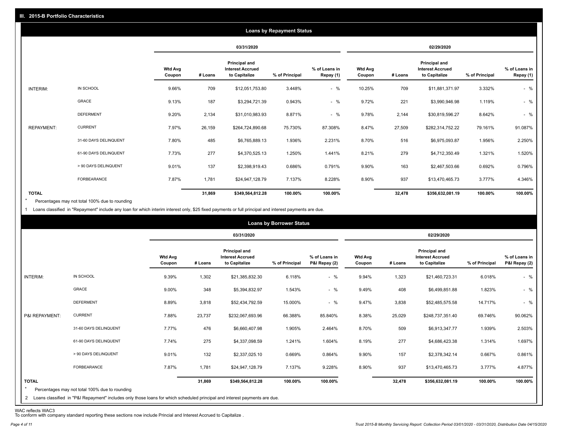|                   |                       |                          |         |                                                                  | <b>Loans by Repayment Status</b> |                            |                          |         |                                                           |                |                            |
|-------------------|-----------------------|--------------------------|---------|------------------------------------------------------------------|----------------------------------|----------------------------|--------------------------|---------|-----------------------------------------------------------|----------------|----------------------------|
|                   |                       |                          |         | 03/31/2020                                                       |                                  |                            |                          |         | 02/29/2020                                                |                |                            |
|                   |                       | <b>Wtd Avg</b><br>Coupon | # Loans | <b>Principal and</b><br><b>Interest Accrued</b><br>to Capitalize | % of Principal                   | % of Loans in<br>Repay (1) | <b>Wtd Avg</b><br>Coupon | # Loans | Principal and<br><b>Interest Accrued</b><br>to Capitalize | % of Principal | % of Loans in<br>Repay (1) |
| INTERIM:          | IN SCHOOL             | 9.66%                    | 709     | \$12,051,753.80                                                  | 3.448%                           | $-$ %                      | 10.25%                   | 709     | \$11,881,371.97                                           | 3.332%         | $-$ %                      |
|                   | GRACE                 | 9.13%                    | 187     | \$3,294,721.39                                                   | 0.943%                           | $-$ %                      | 9.72%                    | 221     | \$3,990,946.98                                            | 1.119%         | $-$ %                      |
|                   | <b>DEFERMENT</b>      | 9.20%                    | 2,134   | \$31,010,983.93                                                  | 8.871%                           | $-$ %                      | 9.78%                    | 2,144   | \$30,819,596.27                                           | 8.642%         | $-$ %                      |
| <b>REPAYMENT:</b> | <b>CURRENT</b>        | 7.97%                    | 26,159  | \$264,724,890.68                                                 | 75.730%                          | 87.308%                    | 8.47%                    | 27,509  | \$282,314,752.22                                          | 79.161%        | 91.087%                    |
|                   | 31-60 DAYS DELINQUENT | 7.80%                    | 485     | \$6,765,889.13                                                   | 1.936%                           | 2.231%                     | 8.70%                    | 516     | \$6,975,093.87                                            | 1.956%         | 2.250%                     |
|                   | 61-90 DAYS DELINQUENT | 7.73%                    | 277     | \$4,370,525.13                                                   | 1.250%                           | 1.441%                     | 8.21%                    | 279     | \$4,712,350.49                                            | 1.321%         | 1.520%                     |
|                   | > 90 DAYS DELINQUENT  | 9.01%                    | 137     | \$2,398,919.43                                                   | 0.686%                           | 0.791%                     | 9.90%                    | 163     | \$2,467,503.66                                            | 0.692%         | 0.796%                     |
|                   | FORBEARANCE           | 7.87%                    | 1,781   | \$24,947,128.79                                                  | 7.137%                           | 8.228%                     | 8.90%                    | 937     | \$13,470,465.73                                           | 3.777%         | 4.346%                     |
| <b>TOTAL</b>      |                       |                          | 31,869  | \$349,564,812.28                                                 | 100.00%                          | 100.00%                    |                          | 32,478  | \$356,632,081.19                                          | 100.00%        | 100.00%                    |

Percentages may not total 100% due to rounding  $\star$ 

1 Loans classified in "Repayment" include any loan for which interim interest only, \$25 fixed payments or full principal and interest payments are due.

|                         |                                                                                                                                                                                |                          |         |                                                                  | <b>Loans by Borrower Status</b> |                                |                          |         |                                                                  |                |                                |
|-------------------------|--------------------------------------------------------------------------------------------------------------------------------------------------------------------------------|--------------------------|---------|------------------------------------------------------------------|---------------------------------|--------------------------------|--------------------------|---------|------------------------------------------------------------------|----------------|--------------------------------|
|                         |                                                                                                                                                                                |                          |         | 03/31/2020                                                       |                                 |                                |                          |         | 02/29/2020                                                       |                |                                |
|                         |                                                                                                                                                                                | <b>Wtd Avg</b><br>Coupon | # Loans | <b>Principal and</b><br><b>Interest Accrued</b><br>to Capitalize | % of Principal                  | % of Loans in<br>P&I Repay (2) | <b>Wtd Avg</b><br>Coupon | # Loans | <b>Principal and</b><br><b>Interest Accrued</b><br>to Capitalize | % of Principal | % of Loans in<br>P&I Repay (2) |
| INTERIM:                | IN SCHOOL                                                                                                                                                                      | 9.39%                    | 1,302   | \$21,385,832.30                                                  | 6.118%                          | $-$ %                          | 9.94%                    | 1,323   | \$21,460,723.31                                                  | 6.018%         | $-$ %                          |
|                         | GRACE                                                                                                                                                                          | 9.00%                    | 348     | \$5,394,832.97                                                   | 1.543%                          | $-$ %                          | 9.49%                    | 408     | \$6,499,851.88                                                   | 1.823%         | $-$ %                          |
|                         | <b>DEFERMENT</b>                                                                                                                                                               | 8.89%                    | 3,818   | \$52,434,792.59                                                  | 15.000%                         | $-$ %                          | 9.47%                    | 3,838   | \$52,485,575.58                                                  | 14.717%        | $-$ %                          |
| P&I REPAYMENT:          | <b>CURRENT</b>                                                                                                                                                                 | 7.88%                    | 23,737  | \$232,067,693.96                                                 | 66.388%                         | 85.840%                        | 8.38%                    | 25,029  | \$248,737,351.40                                                 | 69.746%        | 90.062%                        |
|                         | 31-60 DAYS DELINQUENT                                                                                                                                                          | 7.77%                    | 476     | \$6,660,407.98                                                   | 1.905%                          | 2.464%                         | 8.70%                    | 509     | \$6,913,347.77                                                   | 1.939%         | 2.503%                         |
|                         | 61-90 DAYS DELINQUENT                                                                                                                                                          | 7.74%                    | 275     | \$4,337,098.59                                                   | 1.241%                          | 1.604%                         | 8.19%                    | 277     | \$4,686,423.38                                                   | 1.314%         | 1.697%                         |
|                         | > 90 DAYS DELINQUENT                                                                                                                                                           | 9.01%                    | 132     | \$2,337,025.10                                                   | 0.669%                          | 0.864%                         | 9.90%                    | 157     | \$2,378,342.14                                                   | 0.667%         | 0.861%                         |
|                         | FORBEARANCE                                                                                                                                                                    | 7.87%                    | 1,781   | \$24,947,128.79                                                  | 7.137%                          | 9.228%                         | 8.90%                    | 937     | \$13,470,465.73                                                  | 3.777%         | 4.877%                         |
| <b>TOTAL</b><br>$\star$ | Percentages may not total 100% due to rounding<br>2 Loans classified in "P&I Repayment" includes only those loans for which scheduled principal and interest payments are due. |                          | 31,869  | \$349,564,812.28                                                 | 100.00%                         | 100.00%                        |                          | 32,478  | \$356,632,081.19                                                 | 100.00%        | 100.00%                        |

WAC reflects WAC3 To conform with company standard reporting these sections now include Princial and Interest Accrued to Capitalize .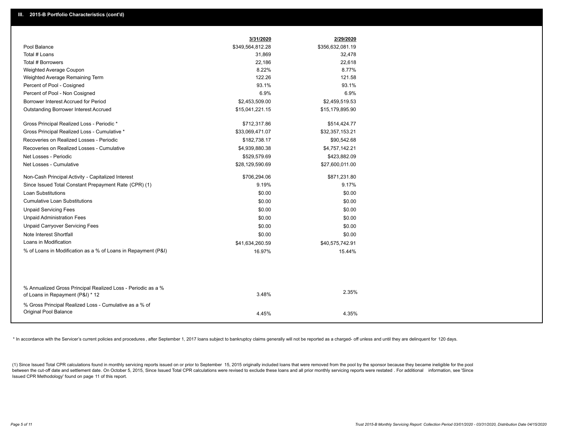|                                                                                                  | 3/31/2020        | 2/29/2020        |
|--------------------------------------------------------------------------------------------------|------------------|------------------|
| Pool Balance                                                                                     | \$349,564,812.28 | \$356,632,081.19 |
| Total # Loans                                                                                    | 31,869           | 32,478           |
| Total # Borrowers                                                                                | 22,186           | 22,618           |
| Weighted Average Coupon                                                                          | 8.22%            | 8.77%            |
| Weighted Average Remaining Term                                                                  | 122.26           | 121.58           |
| Percent of Pool - Cosigned                                                                       | 93.1%            | 93.1%            |
| Percent of Pool - Non Cosigned                                                                   | 6.9%             | 6.9%             |
| Borrower Interest Accrued for Period                                                             | \$2,453,509.00   | \$2,459,519.53   |
| <b>Outstanding Borrower Interest Accrued</b>                                                     | \$15,041,221.15  | \$15,179,895.90  |
| Gross Principal Realized Loss - Periodic *                                                       | \$712,317.86     | \$514,424.77     |
| Gross Principal Realized Loss - Cumulative *                                                     | \$33,069,471.07  | \$32,357,153.21  |
| Recoveries on Realized Losses - Periodic                                                         | \$182,738.17     | \$90,542.68      |
| Recoveries on Realized Losses - Cumulative                                                       | \$4,939,880.38   | \$4,757,142.21   |
| Net Losses - Periodic                                                                            | \$529,579.69     | \$423,882.09     |
| Net Losses - Cumulative                                                                          | \$28,129,590.69  | \$27,600,011.00  |
| Non-Cash Principal Activity - Capitalized Interest                                               | \$706,294.06     | \$871,231.80     |
| Since Issued Total Constant Prepayment Rate (CPR) (1)                                            | 9.19%            | 9.17%            |
| <b>Loan Substitutions</b>                                                                        | \$0.00           | \$0.00           |
| <b>Cumulative Loan Substitutions</b>                                                             | \$0.00           | \$0.00           |
| <b>Unpaid Servicing Fees</b>                                                                     | \$0.00           | \$0.00           |
| <b>Unpaid Administration Fees</b>                                                                | \$0.00           | \$0.00           |
| <b>Unpaid Carryover Servicing Fees</b>                                                           | \$0.00           | \$0.00           |
| Note Interest Shortfall                                                                          | \$0.00           | \$0.00           |
| Loans in Modification                                                                            | \$41,634,260.59  | \$40,575,742.91  |
| % of Loans in Modification as a % of Loans in Repayment (P&I)                                    | 16.97%           | 15.44%           |
|                                                                                                  |                  |                  |
| % Annualized Gross Principal Realized Loss - Periodic as a %<br>of Loans in Repayment (P&I) * 12 | 3.48%            | 2.35%            |
| % Gross Principal Realized Loss - Cumulative as a % of                                           |                  |                  |
| Original Pool Balance                                                                            | 4.45%            | 4.35%            |

\* In accordance with the Servicer's current policies and procedures, after September 1, 2017 loans subject to bankruptcy claims generally will not be reported as a charged- off unless and until they are delinquent for 120

(1) Since Issued Total CPR calculations found in monthly servicing reports issued on or prior to September 15, 2015 originally included loans that were removed from the pool by the sponsor because they became ineligible fo between the cut-off date and settlement date. On October 5, 2015, Since Issued Total CPR calculations were revised to exclude these loans and all prior monthly servicing reports were restated. For additional information, s Issued CPR Methodology' found on page 11 of this report.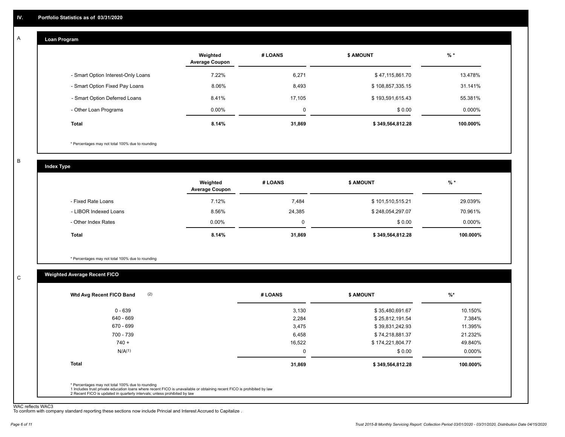#### **Loan Program**  A

|                                    | Weighted<br><b>Average Coupon</b> | # LOANS | <b>\$ AMOUNT</b> | $%$ *     |
|------------------------------------|-----------------------------------|---------|------------------|-----------|
| - Smart Option Interest-Only Loans | 7.22%                             | 6,271   | \$47,115,861.70  | 13.478%   |
| - Smart Option Fixed Pay Loans     | 8.06%                             | 8,493   | \$108,857,335.15 | 31.141%   |
| - Smart Option Deferred Loans      | 8.41%                             | 17.105  | \$193,591,615.43 | 55.381%   |
| - Other Loan Programs              | $0.00\%$                          | 0       | \$0.00           | $0.000\%$ |
| <b>Total</b>                       | 8.14%                             | 31,869  | \$349,564,812.28 | 100.000%  |

\* Percentages may not total 100% due to rounding

B

C

**Index Type**

|                       | Weighted<br><b>Average Coupon</b> | # LOANS | <b>\$ AMOUNT</b> | $%$ *     |
|-----------------------|-----------------------------------|---------|------------------|-----------|
| - Fixed Rate Loans    | 7.12%                             | 7,484   | \$101,510,515.21 | 29.039%   |
| - LIBOR Indexed Loans | 8.56%                             | 24,385  | \$248,054,297.07 | 70.961%   |
| - Other Index Rates   | $0.00\%$                          |         | \$0.00           | $0.000\%$ |
| Total                 | 8.14%                             | 31,869  | \$349,564,812.28 | 100.000%  |

\* Percentages may not total 100% due to rounding

# **Weighted Average Recent FICO**

| (2)<br>Wtd Avg Recent FICO Band | # LOANS | <b>\$ AMOUNT</b> | %        |
|---------------------------------|---------|------------------|----------|
| $0 - 639$                       | 3,130   | \$35,480,691.67  | 10.150%  |
| 640 - 669                       | 2,284   | \$25,812,191.54  | 7.384%   |
| 670 - 699                       | 3,475   | \$39,831,242.93  | 11.395%  |
| 700 - 739                       | 6,458   | \$74,218,881.37  | 21.232%  |
| $740 +$                         | 16,522  | \$174,221,804.77 | 49.840%  |
| N/A <sup>(1)</sup>              | 0       | \$0.00           | 0.000%   |
| <b>Total</b>                    | 31,869  | \$349,564,812.28 | 100.000% |

WAC reflects WAC3 To conform with company standard reporting these sections now include Princial and Interest Accrued to Capitalize .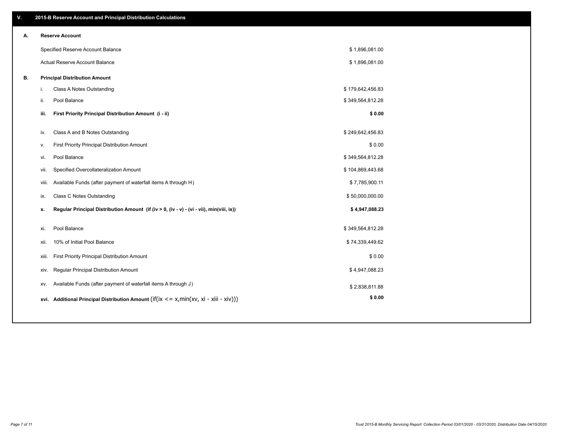| V. |       | 2015-B Reserve Account and Principal Distribution Calculations                             |                  |  |
|----|-------|--------------------------------------------------------------------------------------------|------------------|--|
| А. |       | <b>Reserve Account</b>                                                                     |                  |  |
|    |       | Specified Reserve Account Balance                                                          | \$1,896,081.00   |  |
|    |       | Actual Reserve Account Balance                                                             | \$1,896,081.00   |  |
| В. |       | <b>Principal Distribution Amount</b>                                                       |                  |  |
|    | i.    | Class A Notes Outstanding                                                                  | \$179,642,456.83 |  |
|    | ii.   | Pool Balance                                                                               | \$349,564,812.28 |  |
|    | iii.  | First Priority Principal Distribution Amount (i - ii)                                      | \$0.00           |  |
|    | iv.   | Class A and B Notes Outstanding                                                            | \$249,642,456.83 |  |
|    | v.    | First Priority Principal Distribution Amount                                               | \$0.00           |  |
|    | vi.   | Pool Balance                                                                               | \$349,564,812.28 |  |
|    | vii.  | Specified Overcollateralization Amount                                                     | \$104,869,443.68 |  |
|    | viii. | Available Funds (after payment of waterfall items A through H)                             | \$7,785,900.11   |  |
|    | ix.   | <b>Class C Notes Outstanding</b>                                                           | \$50,000,000.00  |  |
|    | х.    | Regular Principal Distribution Amount (if (iv > 0, (iv - v) - (vi - vii), min(viii, ix))   | \$4,947,088.23   |  |
|    |       |                                                                                            |                  |  |
|    | xi.   | Pool Balance                                                                               | \$349,564,812.28 |  |
|    | xii.  | 10% of Initial Pool Balance                                                                | \$74,339,449.62  |  |
|    | xiii. | First Priority Principal Distribution Amount                                               | \$0.00           |  |
|    | XIV.  | Regular Principal Distribution Amount                                                      | \$4,947,088.23   |  |
|    | XV.   | Available Funds (after payment of waterfall items A through J)                             | \$2,838,811.88   |  |
|    |       | xvi. Additional Principal Distribution Amount (if(ix $\lt$ = x, min(xv, xi - xiii - xiv))) | \$0.00           |  |
|    |       |                                                                                            |                  |  |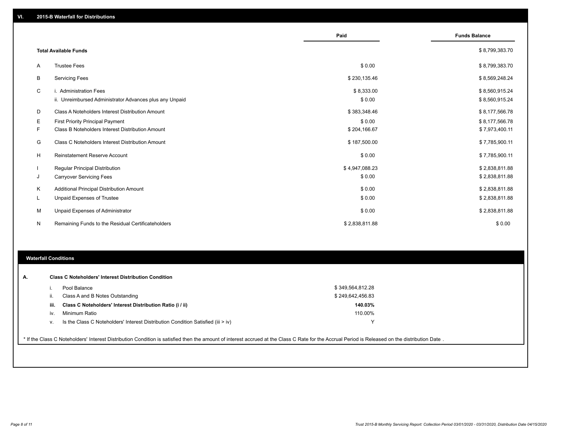|    |                                                         | Paid           | <b>Funds Balance</b> |
|----|---------------------------------------------------------|----------------|----------------------|
|    | <b>Total Available Funds</b>                            |                | \$8,799,383.70       |
| A  | <b>Trustee Fees</b>                                     | \$0.00         | \$8,799,383.70       |
| В  | <b>Servicing Fees</b>                                   | \$230,135.46   | \$8,569,248.24       |
| C  | i. Administration Fees                                  | \$8,333.00     | \$8,560,915.24       |
|    | ii. Unreimbursed Administrator Advances plus any Unpaid | \$0.00         | \$8,560,915.24       |
| D  | Class A Noteholders Interest Distribution Amount        | \$383,348.46   | \$8,177,566.78       |
| Е  | First Priority Principal Payment                        | \$0.00         | \$8,177,566.78       |
| F. | Class B Noteholders Interest Distribution Amount        | \$204,166.67   | \$7,973,400.11       |
| G  | Class C Noteholders Interest Distribution Amount        | \$187,500.00   | \$7,785,900.11       |
| H  | <b>Reinstatement Reserve Account</b>                    | \$0.00         | \$7,785,900.11       |
|    | Regular Principal Distribution                          | \$4,947,088.23 | \$2,838,811.88       |
| J  | <b>Carryover Servicing Fees</b>                         | \$0.00         | \$2,838,811.88       |
| Κ  | Additional Principal Distribution Amount                | \$0.00         | \$2,838,811.88       |
| L  | Unpaid Expenses of Trustee                              | \$0.00         | \$2,838,811.88       |
| M  | Unpaid Expenses of Administrator                        | \$0.00         | \$2,838,811.88       |
| N  | Remaining Funds to the Residual Certificateholders      | \$2,838,811.88 | \$0.00               |

### **Waterfall Conditions**

|      | Pool Balance                                                                     | \$349,564,812.28 |  |
|------|----------------------------------------------------------------------------------|------------------|--|
| ii.  | Class A and B Notes Outstanding                                                  | \$249,642,456.83 |  |
| iii. | Class C Noteholders' Interest Distribution Ratio (i / ii)                        | 140.03%          |  |
| İV.  | Minimum Ratio                                                                    | 110.00%          |  |
| v.   | Is the Class C Noteholders' Interest Distribution Condition Satisfied (iii > iv) | $\check{ }$      |  |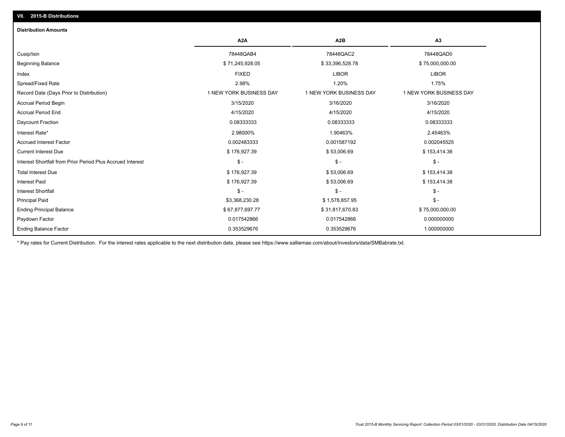| <b>Distribution Amounts</b>                                |                         |                         |                         |
|------------------------------------------------------------|-------------------------|-------------------------|-------------------------|
|                                                            | A <sub>2</sub> A        | A2B                     | A3                      |
| Cusip/Isin                                                 | 78448QAB4               | 78448QAC2               | 78448QAD0               |
| <b>Beginning Balance</b>                                   | \$71,245,928.05         | \$33,396,528.78         | \$75,000,000.00         |
| Index                                                      | <b>FIXED</b>            | <b>LIBOR</b>            | <b>LIBOR</b>            |
| Spread/Fixed Rate                                          | 2.98%                   | 1.20%                   | 1.75%                   |
| Record Date (Days Prior to Distribution)                   | 1 NEW YORK BUSINESS DAY | 1 NEW YORK BUSINESS DAY | 1 NEW YORK BUSINESS DAY |
| <b>Accrual Period Begin</b>                                | 3/15/2020               | 3/16/2020               | 3/16/2020               |
| <b>Accrual Period End</b>                                  | 4/15/2020               | 4/15/2020               | 4/15/2020               |
| Daycount Fraction                                          | 0.08333333              | 0.08333333              | 0.08333333              |
| Interest Rate*                                             | 2.98000%                | 1.90463%                | 2.45463%                |
| <b>Accrued Interest Factor</b>                             | 0.002483333             | 0.001587192             | 0.002045525             |
| <b>Current Interest Due</b>                                | \$176,927.39            | \$53,006.69             | \$153,414.38            |
| Interest Shortfall from Prior Period Plus Accrued Interest | $\mathsf{\$}$ -         | $$ -$                   | $$ -$                   |
| <b>Total Interest Due</b>                                  | \$176,927.39            | \$53,006.69             | \$153,414.38            |
| <b>Interest Paid</b>                                       | \$176,927.39            | \$53,006.69             | \$153,414.38            |
| <b>Interest Shortfall</b>                                  | $\frac{1}{2}$           | $$ -$                   | $$ -$                   |
| <b>Principal Paid</b>                                      | \$3,368,230.28          | \$1,578,857.95          | $$ -$                   |
| <b>Ending Principal Balance</b>                            | \$67,877,697.77         | \$31,817,670.83         | \$75,000,000.00         |
| Paydown Factor                                             | 0.017542866             | 0.017542866             | 0.000000000             |
| <b>Ending Balance Factor</b>                               | 0.353529676             | 0.353529676             | 1.000000000             |

\* Pay rates for Current Distribution. For the interest rates applicable to the next distribution date, please see https://www.salliemae.com/about/investors/data/SMBabrate.txt.

**VII. 2015-B Distributions**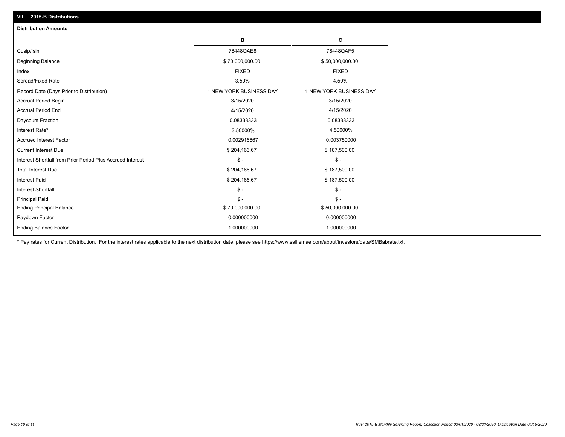| <b>Distribution Amounts</b>                                |                         |                         |
|------------------------------------------------------------|-------------------------|-------------------------|
|                                                            | в                       | C                       |
| Cusip/Isin                                                 | 78448QAE8               | 78448QAF5               |
| <b>Beginning Balance</b>                                   | \$70,000,000.00         | \$50,000,000.00         |
| Index                                                      | <b>FIXED</b>            | <b>FIXED</b>            |
| Spread/Fixed Rate                                          | 3.50%                   | 4.50%                   |
| Record Date (Days Prior to Distribution)                   | 1 NEW YORK BUSINESS DAY | 1 NEW YORK BUSINESS DAY |
| <b>Accrual Period Begin</b>                                | 3/15/2020               | 3/15/2020               |
| <b>Accrual Period End</b>                                  | 4/15/2020               | 4/15/2020               |
| Daycount Fraction                                          | 0.08333333              | 0.08333333              |
| Interest Rate*                                             | 3.50000%                | 4.50000%                |
| <b>Accrued Interest Factor</b>                             | 0.002916667             | 0.003750000             |
| <b>Current Interest Due</b>                                | \$204,166.67            | \$187,500.00            |
| Interest Shortfall from Prior Period Plus Accrued Interest | $\mathcal{S}$ -         | $\frac{1}{2}$           |
| <b>Total Interest Due</b>                                  | \$204,166.67            | \$187,500.00            |
| Interest Paid                                              | \$204,166.67            | \$187,500.00            |
| <b>Interest Shortfall</b>                                  | $\mathcal{S}$ -         | $\frac{1}{2}$           |
| <b>Principal Paid</b>                                      | $\mathsf{\$}$ -         | $\mathsf{\$}$ -         |
| <b>Ending Principal Balance</b>                            | \$70,000,000.00         | \$50,000,000.00         |
| Paydown Factor                                             | 0.000000000             | 0.000000000             |
| <b>Ending Balance Factor</b>                               | 1.000000000             | 1.000000000             |

\* Pay rates for Current Distribution. For the interest rates applicable to the next distribution date, please see https://www.salliemae.com/about/investors/data/SMBabrate.txt.

**VII. 2015-B Distributions**